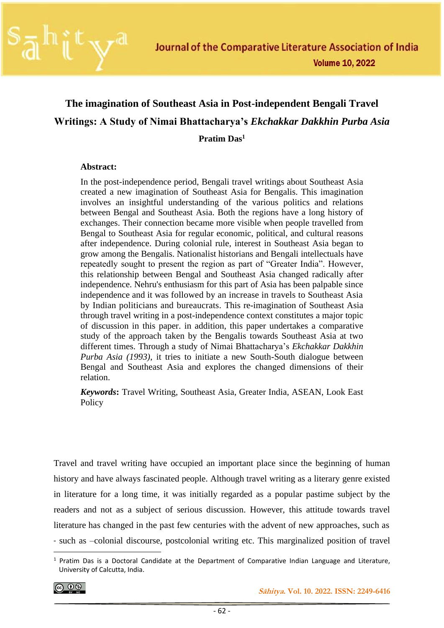

# **The imagination of Southeast Asia in Post-independent Bengali Travel Writings: A Study of Nimai Bhattacharya's** *Ekchakkar Dakkhin Purba Asia* **Pratim Das<sup>1</sup>**

### **Abstract:**

In the post-independence period, Bengali travel writings about Southeast Asia created a new imagination of Southeast Asia for Bengalis. This imagination involves an insightful understanding of the various politics and relations between Bengal and Southeast Asia. Both the regions have a long history of exchanges. Their connection became more visible when people travelled from Bengal to Southeast Asia for regular economic, political, and cultural reasons after independence. During colonial rule, interest in Southeast Asia began to grow among the Bengalis. Nationalist historians and Bengali intellectuals have repeatedly sought to present the region as part of "Greater India". However, this relationship between Bengal and Southeast Asia changed radically after independence. Nehru's enthusiasm for this part of Asia has been palpable since independence and it was followed by an increase in travels to Southeast Asia by Indian politicians and bureaucrats. This re-imagination of Southeast Asia through travel writing in a post-independence context constitutes a major topic of discussion in this paper. in addition, this paper undertakes a comparative study of the approach taken by the Bengalis towards Southeast Asia at two different times. Through a study of Nimai Bhattacharya's *Ekchakkar Dakkhin Purba Asia (1993)*, it tries to initiate a new South-South dialogue between Bengal and Southeast Asia and explores the changed dimensions of their relation.

*Keywords***:** Travel Writing, Southeast Asia, Greater India, ASEAN, Look East Policy

Travel and travel writing have occupied an important place since the beginning of human history and have always fascinated people. Although travel writing as a literary genre existed in literature for a long time, it was initially regarded as a popular pastime subject by the readers and not as a subject of serious discussion. However, this attitude towards travel literature has changed in the past few centuries with the advent of new approaches, such as - such as –colonial discourse, postcolonial writing etc. This marginalized position of travel

[෬ ⊙ ෧

<sup>&</sup>lt;sup>1</sup> Pratim Das is a Doctoral Candidate at the Department of Comparative Indian Language and Literature, University of Calcutta, India.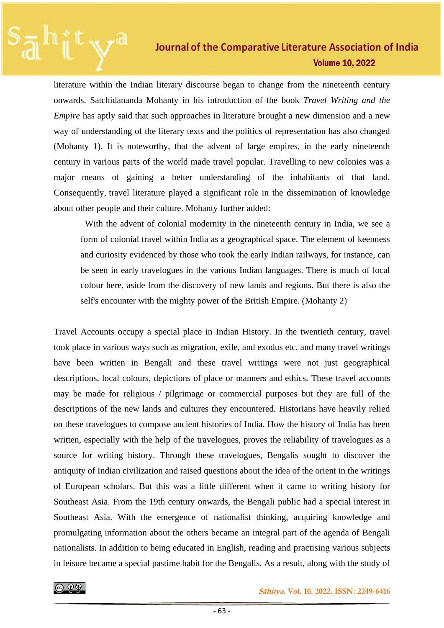literature within the Indian literary discourse began to change from the nineteenth century onwards. Satchidananda Mohanty in his introduction of the book *Travel Writing and the Empire* has aptly said that such approaches in literature brought a new dimension and a new way of understanding of the literary texts and the politics of representation has also changed (Mohanty 1). It is noteworthy, that the advent of large empires, in the early nineteenth century in various parts of the world made travel popular. Travelling to new colonies was a major means of gaining a better understanding of the inhabitants of that land. Consequently, travel literature played a significant role in the dissemination of knowledge about other people and their culture. Mohanty further added:

With the advent of colonial modernity in the nineteenth century in India, we see a form of colonial travel within India as a geographical space. The element of keenness and curiosity evidenced by those who took the early Indian railways, for instance, can be seen in early travelogues in the various Indian languages. There is much of local colour here, aside from the discovery of new lands and regions. But there is also the self's encounter with the mighty power of the British Empire. (Mohanty 2)

Travel Accounts occupy a special place in Indian History. In the twentieth century, travel took place in various ways such as migration, exile, and exodus etc. and many travel writings have been written in Bengali and these travel writings were not just geographical descriptions, local colours, depictions of place or manners and ethics. These travel accounts may be made for religious / pilgrimage or commercial purposes but they are full of the descriptions of the new lands and cultures they encountered. Historians have heavily relied on these travelogues to compose ancient histories of India. How the history of India has been written, especially with the help of the travelogues, proves the reliability of travelogues as a source for writing history. Through these travelogues, Bengalis sought to discover the antiquity of Indian civilization and raised questions about the idea of the orient in the writings of European scholars. But this was a little different when it came to writing history for Southeast Asia. From the 19th century onwards, the Bengali public had a special interest in Southeast Asia. With the emergence of nationalist thinking, acquiring knowledge and promulgating information about the others became an integral part of the agenda of Bengali nationalists. In addition to being educated in English, reading and practising various subjects in leisure became a special pastime habit for the Bengalis. As a result, along with the study of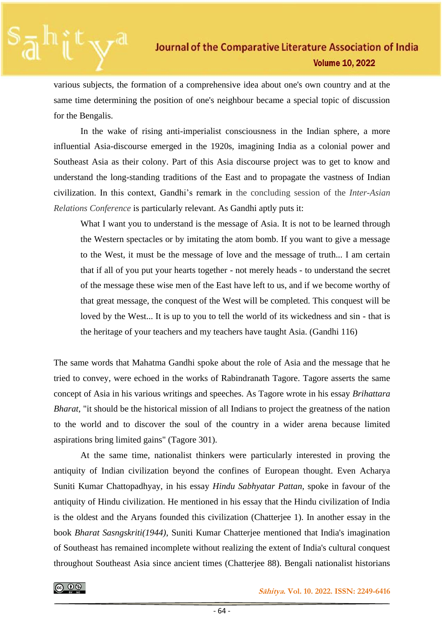various subjects, the formation of a comprehensive idea about one's own country and at the same time determining the position of one's neighbour became a special topic of discussion for the Bengalis.

In the wake of rising anti-imperialist consciousness in the Indian sphere, a more influential Asia-discourse emerged in the 1920s, imagining India as a colonial power and Southeast Asia as their colony. Part of this Asia discourse project was to get to know and understand the long-standing traditions of the East and to propagate the vastness of Indian civilization. In this context, Gandhi's remark in the concluding session of the *Inter-Asian Relations Conference* is particularly relevant. As Gandhi aptly puts it:

What I want you to understand is the message of Asia. It is not to be learned through the Western spectacles or by imitating the atom bomb. If you want to give a message to the West, it must be the message of love and the message of truth... I am certain that if all of you put your hearts together - not merely heads - to understand the secret of the message these wise men of the East have left to us, and if we become worthy of that great message, the conquest of the West will be completed. This conquest will be loved by the West... It is up to you to tell the world of its wickedness and sin - that is the heritage of your teachers and my teachers have taught Asia. (Gandhi 116)

The same words that Mahatma Gandhi spoke about the role of Asia and the message that he tried to convey, were echoed in the works of Rabindranath Tagore. Tagore asserts the same concept of Asia in his various writings and speeches. As Tagore wrote in his essay *Brihattara Bharat*, "it should be the historical mission of all Indians to project the greatness of the nation to the world and to discover the soul of the country in a wider arena because limited aspirations bring limited gains" (Tagore 301).

At the same time, nationalist thinkers were particularly interested in proving the antiquity of Indian civilization beyond the confines of European thought. Even Acharya Suniti Kumar Chattopadhyay, in his essay *Hindu Sabhyatar Pattan*, spoke in favour of the antiquity of Hindu civilization. He mentioned in his essay that the Hindu civilization of India is the oldest and the Aryans founded this civilization (Chatterjee 1). In another essay in the book *Bharat Sasngskriti(1944)*, Suniti Kumar Chatterjee mentioned that India's imagination of Southeast has remained incomplete without realizing the extent of India's cultural conquest throughout Southeast Asia since ancient times (Chatterjee 88). Bengali nationalist historians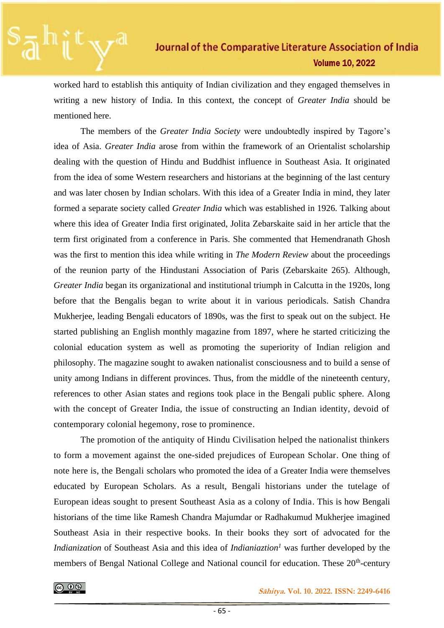worked hard to establish this antiquity of Indian civilization and they engaged themselves in writing a new history of India. In this context, the concept of *Greater India* should be mentioned here.

The members of the *Greater India Society* were undoubtedly inspired by Tagore's idea of Asia. *Greater India* arose from within the framework of an Orientalist scholarship dealing with the question of Hindu and Buddhist influence in Southeast Asia. It originated from the idea of some Western researchers and historians at the beginning of the last century and was later chosen by Indian scholars. With this idea of a Greater India in mind, they later formed a separate society called *Greater India* which was established in 1926. Talking about where this idea of Greater India first originated, Jolita Zebarskaite said in her article that the term first originated from a conference in Paris. She commented that Hemendranath Ghosh was the first to mention this idea while writing in *The Modern Review* about the proceedings of the reunion party of the Hindustani Association of Paris (Zebarskaite 265). Although, *Greater India* began its organizational and institutional triumph in Calcutta in the 1920s, long before that the Bengalis began to write about it in various periodicals. Satish Chandra Mukherjee, leading Bengali educators of 1890s, was the first to speak out on the subject. He started publishing an English monthly magazine from 1897, where he started criticizing the colonial education system as well as promoting the superiority of Indian religion and philosophy. The magazine sought to awaken nationalist consciousness and to build a sense of unity among Indians in different provinces. Thus, from the middle of the nineteenth century, references to other Asian states and regions took place in the Bengali public sphere. Along with the concept of Greater India, the issue of constructing an Indian identity, devoid of contemporary colonial hegemony, rose to prominence.

The promotion of the antiquity of Hindu Civilisation helped the nationalist thinkers to form a movement against the one-sided prejudices of European Scholar. One thing of note here is, the Bengali scholars who promoted the idea of a Greater India were themselves educated by European Scholars. As a result, Bengali historians under the tutelage of European ideas sought to present Southeast Asia as a colony of India. This is how Bengali historians of the time like Ramesh Chandra Majumdar or Radhakumud Mukherjee imagined Southeast Asia in their respective books. In their books they sort of advocated for the *Indianization* of Southeast Asia and this idea of *Indianiaztion<sup>1</sup>* was further developed by the members of Bengal National College and National council for education. These 20<sup>th</sup>-century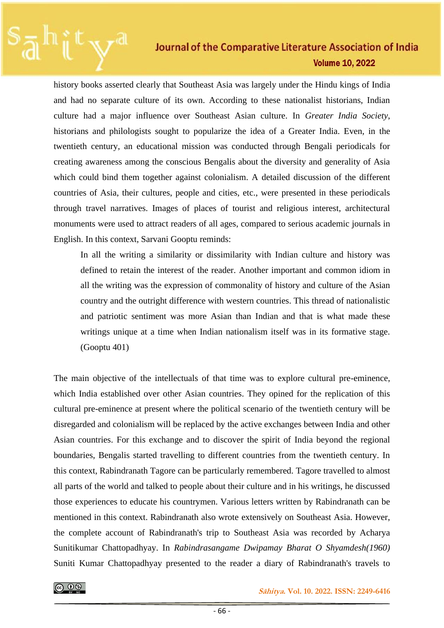history books asserted clearly that Southeast Asia was largely under the Hindu kings of India and had no separate culture of its own. According to these nationalist historians, Indian culture had a major influence over Southeast Asian culture. In *Greater India Society*, historians and philologists sought to popularize the idea of a Greater India. Even, in the twentieth century, an educational mission was conducted through Bengali periodicals for creating awareness among the conscious Bengalis about the diversity and generality of Asia which could bind them together against colonialism. A detailed discussion of the different countries of Asia, their cultures, people and cities, etc., were presented in these periodicals through travel narratives. Images of places of tourist and religious interest, architectural monuments were used to attract readers of all ages, compared to serious academic journals in English. In this context, Sarvani Gooptu reminds:

In all the writing a similarity or dissimilarity with Indian culture and history was defined to retain the interest of the reader. Another important and common idiom in all the writing was the expression of commonality of history and culture of the Asian country and the outright difference with western countries. This thread of nationalistic and patriotic sentiment was more Asian than Indian and that is what made these writings unique at a time when Indian nationalism itself was in its formative stage. (Gooptu 401)

The main objective of the intellectuals of that time was to explore cultural pre-eminence, which India established over other Asian countries. They opined for the replication of this cultural pre-eminence at present where the political scenario of the twentieth century will be disregarded and colonialism will be replaced by the active exchanges between India and other Asian countries. For this exchange and to discover the spirit of India beyond the regional boundaries, Bengalis started travelling to different countries from the twentieth century. In this context, Rabindranath Tagore can be particularly remembered. Tagore travelled to almost all parts of the world and talked to people about their culture and in his writings, he discussed those experiences to educate his countrymen. Various letters written by Rabindranath can be mentioned in this context. Rabindranath also wrote extensively on Southeast Asia. However, the complete account of Rabindranath's trip to Southeast Asia was recorded by Acharya Sunitikumar Chattopadhyay. In *Rabindrasangame Dwipamay Bharat O Shyamdesh(1960)*  Suniti Kumar Chattopadhyay presented to the reader a diary of Rabindranath's travels to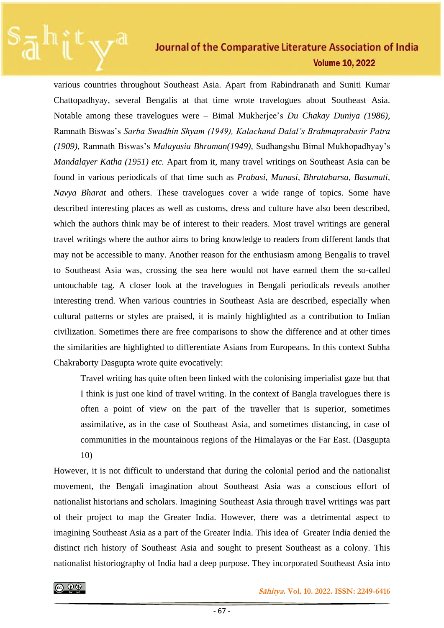various countries throughout Southeast Asia. Apart from Rabindranath and Suniti Kumar Chattopadhyay, several Bengalis at that time wrote travelogues about Southeast Asia. Notable among these travelogues were – Bimal Mukherjee's *Du Chakay Duniya (1986),*  Ramnath Biswas's *Sarba Swadhin Shyam (1949), Kalachand Dalal's Brahmaprabasir Patra (1909),* Ramnath Biswas's *Malayasia Bhraman(1949),* Sudhangshu Bimal Mukhopadhyay's *Mandalayer Katha (1951) etc.* Apart from it, many travel writings on Southeast Asia can be found in various periodicals of that time such as *Prabasi, Manasi, Bhratabarsa, Basumati, Navya Bharat* and others. These travelogues cover a wide range of topics. Some have described interesting places as well as customs, dress and culture have also been described, which the authors think may be of interest to their readers. Most travel writings are general travel writings where the author aims to bring knowledge to readers from different lands that may not be accessible to many. Another reason for the enthusiasm among Bengalis to travel to Southeast Asia was, crossing the sea here would not have earned them the so-called untouchable tag. A closer look at the travelogues in Bengali periodicals reveals another interesting trend. When various countries in Southeast Asia are described, especially when cultural patterns or styles are praised, it is mainly highlighted as a contribution to Indian civilization. Sometimes there are free comparisons to show the difference and at other times the similarities are highlighted to differentiate Asians from Europeans. In this context Subha Chakraborty Dasgupta wrote quite evocatively:

Travel writing has quite often been linked with the colonising imperialist gaze but that I think is just one kind of travel writing. In the context of Bangla travelogues there is often a point of view on the part of the traveller that is superior, sometimes assimilative, as in the case of Southeast Asia, and sometimes distancing, in case of communities in the mountainous regions of the Himalayas or the Far East. (Dasgupta 10)

However, it is not difficult to understand that during the colonial period and the nationalist movement, the Bengali imagination about Southeast Asia was a conscious effort of nationalist historians and scholars. Imagining Southeast Asia through travel writings was part of their project to map the Greater India. However, there was a detrimental aspect to imagining Southeast Asia as a part of the Greater India. This idea of Greater India denied the distinct rich history of Southeast Asia and sought to present Southeast as a colony. This nationalist historiography of India had a deep purpose. They incorporated Southeast Asia into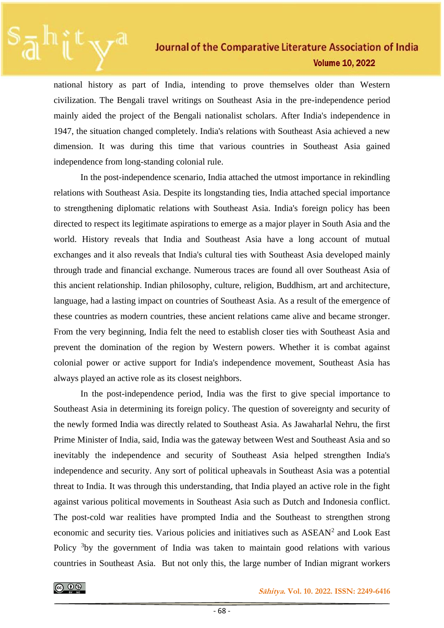national history as part of India, intending to prove themselves older than Western civilization. The Bengali travel writings on Southeast Asia in the pre-independence period mainly aided the project of the Bengali nationalist scholars. After India's independence in 1947, the situation changed completely. India's relations with Southeast Asia achieved a new dimension. It was during this time that various countries in Southeast Asia gained independence from long-standing colonial rule.

In the post-independence scenario, India attached the utmost importance in rekindling relations with Southeast Asia. Despite its longstanding ties, India attached special importance to strengthening diplomatic relations with Southeast Asia. India's foreign policy has been directed to respect its legitimate aspirations to emerge as a major player in South Asia and the world. History reveals that India and Southeast Asia have a long account of mutual exchanges and it also reveals that India's cultural ties with Southeast Asia developed mainly through trade and financial exchange. Numerous traces are found all over Southeast Asia of this ancient relationship. Indian philosophy, culture, religion, Buddhism, art and architecture, language, had a lasting impact on countries of Southeast Asia. As a result of the emergence of these countries as modern countries, these ancient relations came alive and became stronger. From the very beginning, India felt the need to establish closer ties with Southeast Asia and prevent the domination of the region by Western powers. Whether it is combat against colonial power or active support for India's independence movement, Southeast Asia has always played an active role as its closest neighbors.

In the post-independence period, India was the first to give special importance to Southeast Asia in determining its foreign policy. The question of sovereignty and security of the newly formed India was directly related to Southeast Asia. As Jawaharlal Nehru, the first Prime Minister of India, said, India was the gateway between West and Southeast Asia and so inevitably the independence and security of Southeast Asia helped strengthen India's independence and security. Any sort of political upheavals in Southeast Asia was a potential threat to India. It was through this understanding, that India played an active role in the fight against various political movements in Southeast Asia such as Dutch and Indonesia conflict. The post-cold war realities have prompted India and the Southeast to strengthen strong economic and security ties. Various policies and initiatives such as ASEAN<sup>2</sup> and Look East Policy <sup>3</sup>by the government of India was taken to maintain good relations with various countries in Southeast Asia. But not only this, the large number of Indian migrant workers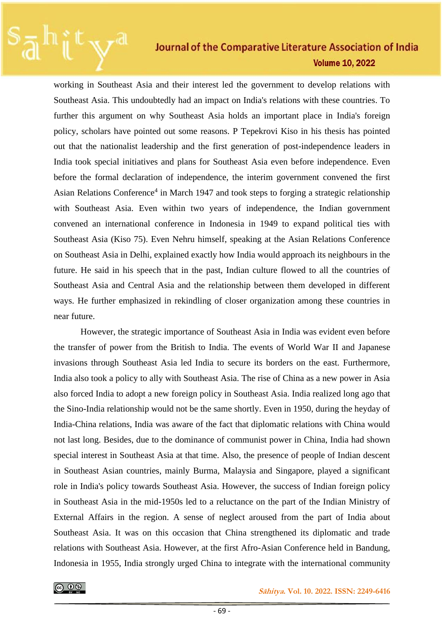working in Southeast Asia and their interest led the government to develop relations with Southeast Asia. This undoubtedly had an impact on India's relations with these countries. To further this argument on why Southeast Asia holds an important place in India's foreign policy, scholars have pointed out some reasons. P Tepekrovi Kiso in his thesis has pointed out that the nationalist leadership and the first generation of post-independence leaders in India took special initiatives and plans for Southeast Asia even before independence. Even before the formal declaration of independence, the interim government convened the first Asian Relations Conference<sup>4</sup> in March 1947 and took steps to forging a strategic relationship with Southeast Asia. Even within two years of independence, the Indian government convened an international conference in Indonesia in 1949 to expand political ties with Southeast Asia (Kiso 75). Even Nehru himself, speaking at the Asian Relations Conference on Southeast Asia in Delhi, explained exactly how India would approach its neighbours in the future. He said in his speech that in the past, Indian culture flowed to all the countries of Southeast Asia and Central Asia and the relationship between them developed in different ways. He further emphasized in rekindling of closer organization among these countries in near future.

However, the strategic importance of Southeast Asia in India was evident even before the transfer of power from the British to India. The events of World War II and Japanese invasions through Southeast Asia led India to secure its borders on the east. Furthermore, India also took a policy to ally with Southeast Asia. The rise of China as a new power in Asia also forced India to adopt a new foreign policy in Southeast Asia. India realized long ago that the Sino-India relationship would not be the same shortly. Even in 1950, during the heyday of India-China relations, India was aware of the fact that diplomatic relations with China would not last long. Besides, due to the dominance of communist power in China, India had shown special interest in Southeast Asia at that time. Also, the presence of people of Indian descent in Southeast Asian countries, mainly Burma, Malaysia and Singapore, played a significant role in India's policy towards Southeast Asia. However, the success of Indian foreign policy in Southeast Asia in the mid-1950s led to a reluctance on the part of the Indian Ministry of External Affairs in the region. A sense of neglect aroused from the part of India about Southeast Asia. It was on this occasion that China strengthened its diplomatic and trade relations with Southeast Asia. However, at the first Afro-Asian Conference held in Bandung, Indonesia in 1955, India strongly urged China to integrate with the international community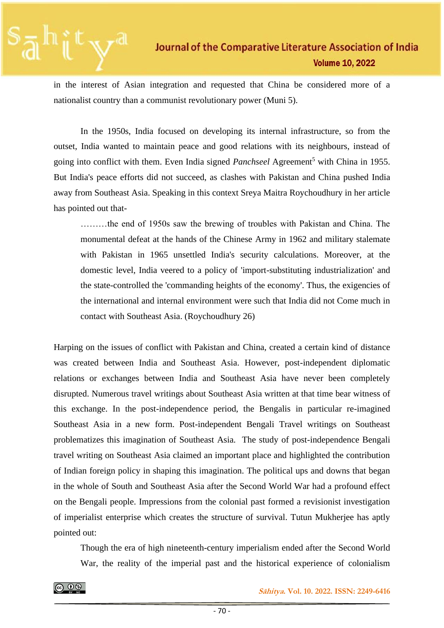in the interest of Asian integration and requested that China be considered more of a nationalist country than a communist revolutionary power (Muni 5).

In the 1950s, India focused on developing its internal infrastructure, so from the outset, India wanted to maintain peace and good relations with its neighbours, instead of going into conflict with them. Even India signed *Panchseel* Agreement<sup>5</sup> with China in 1955. But India's peace efforts did not succeed, as clashes with Pakistan and China pushed India away from Southeast Asia. Speaking in this context Sreya Maitra Roychoudhury in her article has pointed out that-

………the end of 1950s saw the brewing of troubles with Pakistan and China. The monumental defeat at the hands of the Chinese Army in 1962 and military stalemate with Pakistan in 1965 unsettled India's security calculations. Moreover, at the domestic level, India veered to a policy of 'import-substituting industrialization' and the state-controlled the 'commanding heights of the economy'. Thus, the exigencies of the international and internal environment were such that India did not Come much in contact with Southeast Asia. (Roychoudhury 26)

Harping on the issues of conflict with Pakistan and China, created a certain kind of distance was created between India and Southeast Asia. However, post-independent diplomatic relations or exchanges between India and Southeast Asia have never been completely disrupted. Numerous travel writings about Southeast Asia written at that time bear witness of this exchange. In the post-independence period, the Bengalis in particular re-imagined Southeast Asia in a new form. Post-independent Bengali Travel writings on Southeast problematizes this imagination of Southeast Asia. The study of post-independence Bengali travel writing on Southeast Asia claimed an important place and highlighted the contribution of Indian foreign policy in shaping this imagination. The political ups and downs that began in the whole of South and Southeast Asia after the Second World War had a profound effect on the Bengali people. Impressions from the colonial past formed a revisionist investigation of imperialist enterprise which creates the structure of survival. Tutun Mukherjee has aptly pointed out:

Though the era of high nineteenth-century imperialism ended after the Second World War, the reality of the imperial past and the historical experience of colonialism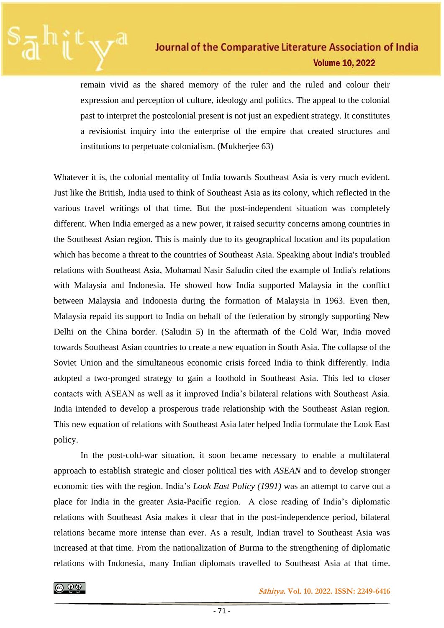remain vivid as the shared memory of the ruler and the ruled and colour their expression and perception of culture, ideology and politics. The appeal to the colonial past to interpret the postcolonial present is not just an expedient strategy. It constitutes a revisionist inquiry into the enterprise of the empire that created structures and institutions to perpetuate colonialism. (Mukherjee 63)

Whatever it is, the colonial mentality of India towards Southeast Asia is very much evident. Just like the British, India used to think of Southeast Asia as its colony, which reflected in the various travel writings of that time. But the post-independent situation was completely different. When India emerged as a new power, it raised security concerns among countries in the Southeast Asian region. This is mainly due to its geographical location and its population which has become a threat to the countries of Southeast Asia. Speaking about India's troubled relations with Southeast Asia, Mohamad Nasir Saludin cited the example of India's relations with Malaysia and Indonesia. He showed how India supported Malaysia in the conflict between Malaysia and Indonesia during the formation of Malaysia in 1963. Even then, Malaysia repaid its support to India on behalf of the federation by strongly supporting New Delhi on the China border. (Saludin 5) In the aftermath of the Cold War, India moved towards Southeast Asian countries to create a new equation in South Asia. The collapse of the Soviet Union and the simultaneous economic crisis forced India to think differently. India adopted a two-pronged strategy to gain a foothold in Southeast Asia. This led to closer contacts with ASEAN as well as it improved India's bilateral relations with Southeast Asia. India intended to develop a prosperous trade relationship with the Southeast Asian region. This new equation of relations with Southeast Asia later helped India formulate the Look East policy.

In the post-cold-war situation, it soon became necessary to enable a multilateral approach to establish strategic and closer political ties with *ASEAN* and to develop stronger economic ties with the region. India's *Look East Policy (1991)* was an attempt to carve out a place for India in the greater Asia-Pacific region. A close reading of India's diplomatic relations with Southeast Asia makes it clear that in the post-independence period, bilateral relations became more intense than ever. As a result, Indian travel to Southeast Asia was increased at that time. From the nationalization of Burma to the strengthening of diplomatic relations with Indonesia, many Indian diplomats travelled to Southeast Asia at that time.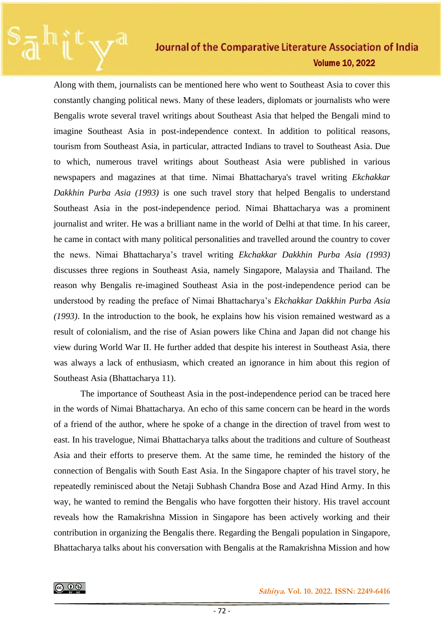Along with them, journalists can be mentioned here who went to Southeast Asia to cover this constantly changing political news. Many of these leaders, diplomats or journalists who were Bengalis wrote several travel writings about Southeast Asia that helped the Bengali mind to imagine Southeast Asia in post-independence context. In addition to political reasons, tourism from Southeast Asia, in particular, attracted Indians to travel to Southeast Asia. Due to which, numerous travel writings about Southeast Asia were published in various newspapers and magazines at that time. Nimai Bhattacharya's travel writing *Ekchakkar Dakkhin Purba Asia (1993)* is one such travel story that helped Bengalis to understand Southeast Asia in the post-independence period. Nimai Bhattacharya was a prominent journalist and writer. He was a brilliant name in the world of Delhi at that time. In his career, he came in contact with many political personalities and travelled around the country to cover the news. Nimai Bhattacharya's travel writing *Ekchakkar Dakkhin Purba Asia (1993)* discusses three regions in Southeast Asia, namely Singapore, Malaysia and Thailand. The reason why Bengalis re-imagined Southeast Asia in the post-independence period can be understood by reading the preface of Nimai Bhattacharya's *Ekchakkar Dakkhin Purba Asia (1993)*. In the introduction to the book, he explains how his vision remained westward as a result of colonialism, and the rise of Asian powers like China and Japan did not change his view during World War II. He further added that despite his interest in Southeast Asia, there was always a lack of enthusiasm, which created an ignorance in him about this region of Southeast Asia (Bhattacharya 11).

The importance of Southeast Asia in the post-independence period can be traced here in the words of Nimai Bhattacharya. An echo of this same concern can be heard in the words of a friend of the author, where he spoke of a change in the direction of travel from west to east. In his travelogue, Nimai Bhattacharya talks about the traditions and culture of Southeast Asia and their efforts to preserve them. At the same time, he reminded the history of the connection of Bengalis with South East Asia. In the Singapore chapter of his travel story, he repeatedly reminisced about the Netaji Subhash Chandra Bose and Azad Hind Army. In this way, he wanted to remind the Bengalis who have forgotten their history. His travel account reveals how the Ramakrishna Mission in Singapore has been actively working and their contribution in organizing the Bengalis there. Regarding the Bengali population in Singapore, Bhattacharya talks about his conversation with Bengalis at the Ramakrishna Mission and how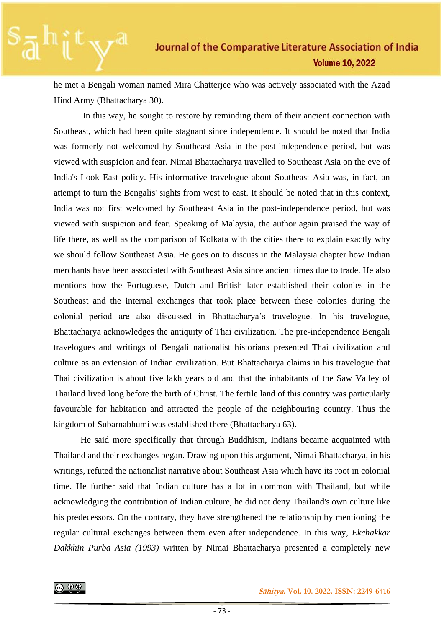he met a Bengali woman named Mira Chatterjee who was actively associated with the Azad Hind Army (Bhattacharya 30).

In this way, he sought to restore by reminding them of their ancient connection with Southeast, which had been quite stagnant since independence. It should be noted that India was formerly not welcomed by Southeast Asia in the post-independence period, but was viewed with suspicion and fear. Nimai Bhattacharya travelled to Southeast Asia on the eve of India's Look East policy. His informative travelogue about Southeast Asia was, in fact, an attempt to turn the Bengalis' sights from west to east. It should be noted that in this context, India was not first welcomed by Southeast Asia in the post-independence period, but was viewed with suspicion and fear. Speaking of Malaysia, the author again praised the way of life there, as well as the comparison of Kolkata with the cities there to explain exactly why we should follow Southeast Asia. He goes on to discuss in the Malaysia chapter how Indian merchants have been associated with Southeast Asia since ancient times due to trade. He also mentions how the Portuguese, Dutch and British later established their colonies in the Southeast and the internal exchanges that took place between these colonies during the colonial period are also discussed in Bhattacharya's travelogue. In his travelogue, Bhattacharya acknowledges the antiquity of Thai civilization. The pre-independence Bengali travelogues and writings of Bengali nationalist historians presented Thai civilization and culture as an extension of Indian civilization. But Bhattacharya claims in his travelogue that Thai civilization is about five lakh years old and that the inhabitants of the Saw Valley of Thailand lived long before the birth of Christ. The fertile land of this country was particularly favourable for habitation and attracted the people of the neighbouring country. Thus the kingdom of Subarnabhumi was established there (Bhattacharya 63).

He said more specifically that through Buddhism, Indians became acquainted with Thailand and their exchanges began. Drawing upon this argument, Nimai Bhattacharya, in his writings, refuted the nationalist narrative about Southeast Asia which have its root in colonial time. He further said that Indian culture has a lot in common with Thailand, but while acknowledging the contribution of Indian culture, he did not deny Thailand's own culture like his predecessors. On the contrary, they have strengthened the relationship by mentioning the regular cultural exchanges between them even after independence. In this way, *Ekchakkar Dakkhin Purba Asia (1993)* written by Nimai Bhattacharya presented a completely new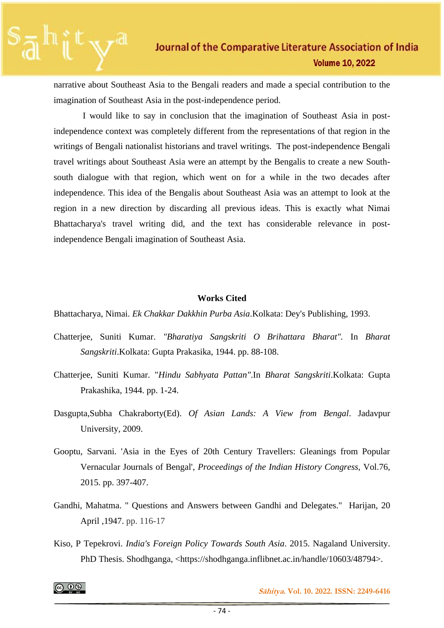narrative about Southeast Asia to the Bengali readers and made a special contribution to the imagination of Southeast Asia in the post-independence period.

I would like to say in conclusion that the imagination of Southeast Asia in postindependence context was completely different from the representations of that region in the writings of Bengali nationalist historians and travel writings. The post-independence Bengali travel writings about Southeast Asia were an attempt by the Bengalis to create a new Southsouth dialogue with that region, which went on for a while in the two decades after independence. This idea of the Bengalis about Southeast Asia was an attempt to look at the region in a new direction by discarding all previous ideas. This is exactly what Nimai Bhattacharya's travel writing did, and the text has considerable relevance in postindependence Bengali imagination of Southeast Asia.

### **Works Cited**

Bhattacharya, Nimai. *Ek Chakkar Dakkhin Purba Asia*.Kolkata: Dey's Publishing, 1993.

- Chatterjee, Suniti Kumar. *"Bharatiya Sangskriti O Brihattara Bharat".* In *Bharat Sangskriti*.Kolkata: Gupta Prakasika, 1944. pp. 88-108.
- Chatterjee, Suniti Kumar. "*Hindu Sabhyata Pattan"*.In *Bharat Sangskriti*.Kolkata: Gupta Prakashika, 1944. pp. 1-24.
- Dasgupta,Subha Chakraborty(Ed). *Of Asian Lands: A View from Bengal*. Jadavpur University, 2009.
- Gooptu, Sarvani. 'Asia in the Eyes of 20th Century Travellers: Gleanings from Popular Vernacular Journals of Bengal', *Proceedings of the Indian History Congress,* Vol.76*,*  2015. pp. 397-407.
- Gandhi, Mahatma. " Questions and Answers between Gandhi and Delegates." Harijan, 20 April ,1947. pp. 116-17
- Kiso, P Tepekrovi. *India's Foreign Policy Towards South Asia*. 2015. Nagaland University. PhD Thesis. Shodhganga, <https://shodhganga.inflibnet.ac.in/handle/10603/48794>.

|ര ⊕®